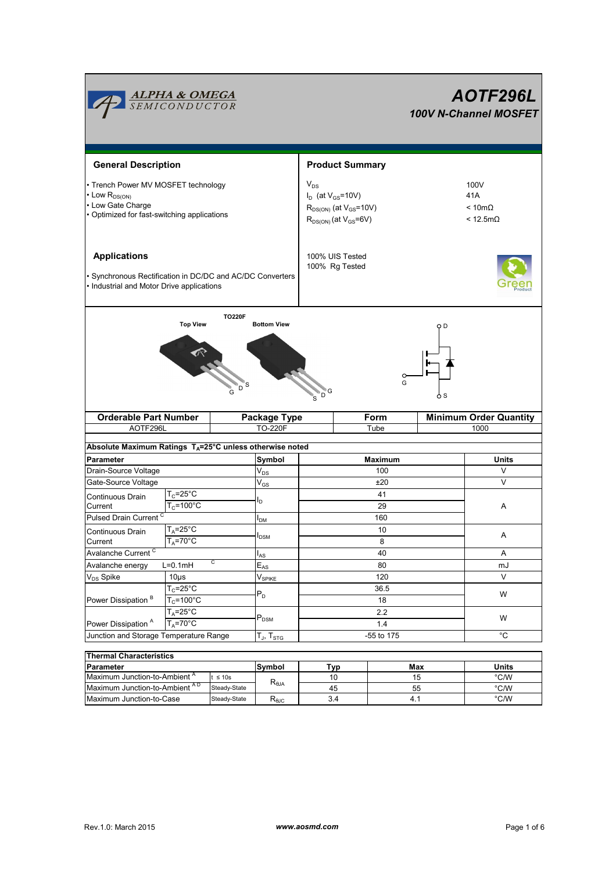

| Thermal Characteristics                   |              |                 |     |     |       |  |  |  |  |  |
|-------------------------------------------|--------------|-----------------|-----|-----|-------|--|--|--|--|--|
| Parameter                                 |              | Symbol          | Tvp | Max | Units |  |  |  |  |  |
| Maximum Junction-to-Ambient <sup>A</sup>  | $\leq 10s$   |                 |     | 15  | °C/W  |  |  |  |  |  |
| Maximum Junction-to-Ambient <sup>AD</sup> | Steady-State | $R_{\theta JA}$ | 45  | 55  | °C/W  |  |  |  |  |  |
| Maximum Junction-to-Case                  | Steady-State | ~പെ             | 3.4 | -4. | °C/W  |  |  |  |  |  |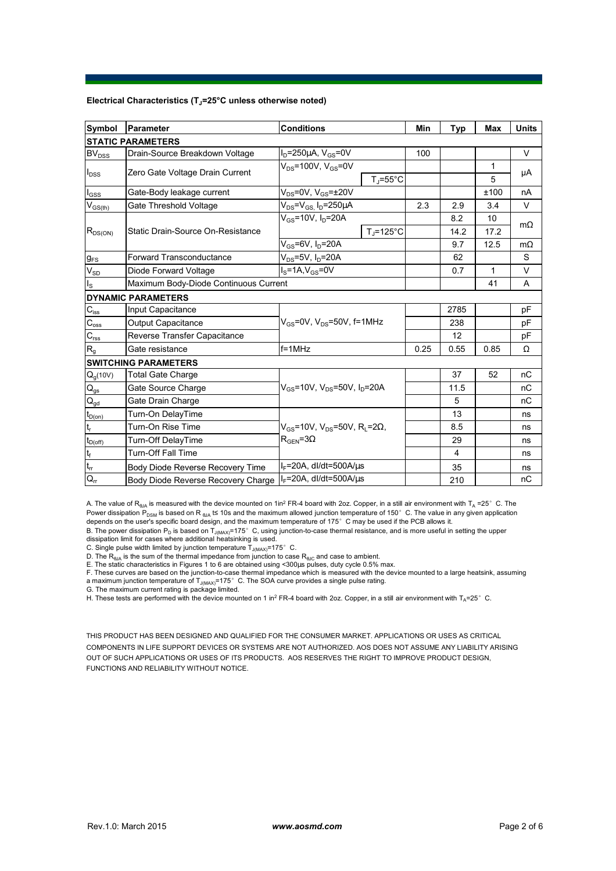## **Electrical Characteristics (TJ=25°C unless otherwise noted)**

| <b>Symbol</b>                          | Parameter                                            | <b>Conditions</b>                                               |                                | Min  | <b>Typ</b>     | Max          | <b>Units</b> |  |  |  |  |  |
|----------------------------------------|------------------------------------------------------|-----------------------------------------------------------------|--------------------------------|------|----------------|--------------|--------------|--|--|--|--|--|
| <b>STATIC PARAMETERS</b>               |                                                      |                                                                 |                                |      |                |              |              |  |  |  |  |  |
| <b>BV</b> <sub>DSS</sub>               | Drain-Source Breakdown Voltage                       | $I_D = 250 \mu A$ , $V_{GS} = 0V$                               |                                | 100  |                |              | V            |  |  |  |  |  |
| $I_{DSS}$                              |                                                      | $V_{DS}$ =100V, $V_{GS}$ =0V                                    |                                |      |                | $\mathbf{1}$ |              |  |  |  |  |  |
|                                        | Zero Gate Voltage Drain Current                      |                                                                 | $T_{\parallel} = 55^{\circ}$ C |      |                | 5            | μA           |  |  |  |  |  |
| $I_{GSS}$                              | Gate-Body leakage current                            | $V_{DS}$ =0V, $V_{GS}$ = $\pm$ 20V                              |                                |      |                | ±100         | nA           |  |  |  |  |  |
| $V_{GS(th)}$                           | Gate Threshold Voltage                               | $V_{DS}$ = $V_{GS}$ , I <sub>D</sub> =250µA                     |                                | 2.3  | 2.9            | 3.4          | $\vee$       |  |  |  |  |  |
| $R_{DS(ON)}$                           |                                                      | $V_{GS}$ =10V, $I_{D}$ =20A                                     |                                |      | 8.2            | 10           |              |  |  |  |  |  |
|                                        | Static Drain-Source On-Resistance                    |                                                                 | $T_J = 125$ °C                 |      | 14.2           | 17.2         | $m\Omega$    |  |  |  |  |  |
|                                        |                                                      | $V_{GS}$ =6V, $I_D$ =20A                                        |                                |      | 9.7            | 12.5         | $m\Omega$    |  |  |  |  |  |
| <b>g<sub>FS</sub></b>                  | $V_{DS}$ =5V, $I_D$ =20A<br>Forward Transconductance |                                                                 |                                |      | 62             |              | S            |  |  |  |  |  |
| $V_{SD}$                               | Diode Forward Voltage                                | $I_S = 1A, V_{GS} = 0V$                                         |                                |      | 0.7            | 1            | V            |  |  |  |  |  |
| $I_{\rm S}$                            | Maximum Body-Diode Continuous Current                |                                                                 |                                |      |                | 41           | A            |  |  |  |  |  |
|                                        | <b>DYNAMIC PARAMETERS</b>                            |                                                                 |                                |      |                |              |              |  |  |  |  |  |
| $C_{\hbox{\scriptsize{iss}}}$          | Input Capacitance                                    |                                                                 |                                |      | 2785           |              | рF           |  |  |  |  |  |
| $C_{\rm oss}$                          | Output Capacitance                                   | $V_{GS}$ =0V, $V_{DS}$ =50V, f=1MHz                             |                                |      | 238            |              | pF           |  |  |  |  |  |
| $\mathbf{C}_{\text{rss}}$              | Reverse Transfer Capacitance                         |                                                                 |                                |      | 12             |              | pF           |  |  |  |  |  |
| $R_{g}$                                | Gate resistance                                      | $f = 1$ MHz                                                     |                                | 0.25 | 0.55           | 0.85         | Ω            |  |  |  |  |  |
|                                        | <b>SWITCHING PARAMETERS</b>                          |                                                                 |                                |      |                |              |              |  |  |  |  |  |
| $Q_g(10V)$                             | <b>Total Gate Charge</b>                             | $V_{\text{gs}}$ =10V, $V_{\text{ps}}$ =50V, $I_{\text{p}}$ =20A |                                |      | 37             | 52           | nC           |  |  |  |  |  |
| $\mathbf{Q}_\text{gs}$                 | Gate Source Charge                                   |                                                                 |                                |      | 11.5           |              | nC           |  |  |  |  |  |
| $\mathsf{Q}_{\underline{\mathsf{gd}}}$ | Gate Drain Charge                                    |                                                                 |                                |      | 5              |              | nC           |  |  |  |  |  |
| $t_{D(0n)}$                            | Turn-On DelayTime                                    |                                                                 |                                |      | 13             |              | ns           |  |  |  |  |  |
| $\mathsf{t}_{\mathsf{r}}$              | Turn-On Rise Time                                    | $V_{GS}$ =10V, V <sub>DS</sub> =50V, R <sub>L</sub> =2Ω,        |                                |      | 8.5            |              | ns           |  |  |  |  |  |
| $t_{D(off)}$                           | Turn-Off DelayTime                                   | $R_{\text{GEN}} = 3\Omega$                                      |                                |      | 29             |              | ns           |  |  |  |  |  |
| $\mathbf{t}_{\text{f}}$                | <b>Turn-Off Fall Time</b>                            |                                                                 |                                |      | $\overline{4}$ |              | ns           |  |  |  |  |  |
| $\mathfrak{t}_{\text{rr}}$             | Body Diode Reverse Recovery Time                     | $I_F$ =20A, dl/dt=500A/ $\mu$ s                                 |                                |      | 35             |              | ns           |  |  |  |  |  |
| $Q_{rr}$                               | Body Diode Reverse Recovery Charge                   | $I_F$ =20A, dl/dt=500A/us                                       |                                |      | 210            |              | nC           |  |  |  |  |  |

A. The value of  $R_{\theta JA}$  is measured with the device mounted on 1in<sup>2</sup> FR-4 board with 2oz. Copper, in a still air environment with T<sub>A</sub> =25° C. The Power dissipation  $P_{DSM}$  is based on R <sub>θJA</sub> t≤ 10s and the maximum allowed junction temperature of 150°C. The value in any given application depends on the user's specific board design, and the maximum temperature of 175°C may be used if the PCB allows it.

B. The power dissipation P<sub>D</sub> is based on T<sub>J(MAX)</sub>=175°C, using junction-to-case thermal resistance, and is more useful in setting the upper dissipation limit for cases where additional heatsinking is used.

C. Single pulse width limited by junction temperature  $T_{J(MAX)}$ =175°C.

D. The  $R_{\theta JA}$  is the sum of the thermal impedance from junction to case  $R_{\theta JC}$  and case to ambient.

E. The static characteristics in Figures 1 to 6 are obtained using <300µs pulses, duty cycle 0.5% max.<br>F. These curves are based on the junction-to-case thermal impedance which is measured with the device mounted to a lar

G. The maximum current rating is package limited.

H. These tests are performed with the device mounted on 1 in<sup>2</sup> FR-4 board with 2oz. Copper, in a still air environment with T<sub>A</sub>=25°C.

THIS PRODUCT HAS BEEN DESIGNED AND QUALIFIED FOR THE CONSUMER MARKET. APPLICATIONS OR USES AS CRITICAL COMPONENTS IN LIFE SUPPORT DEVICES OR SYSTEMS ARE NOT AUTHORIZED. AOS DOES NOT ASSUME ANY LIABILITY ARISING OUT OF SUCH APPLICATIONS OR USES OF ITS PRODUCTS. AOS RESERVES THE RIGHT TO IMPROVE PRODUCT DESIGN, FUNCTIONS AND RELIABILITY WITHOUT NOTICE.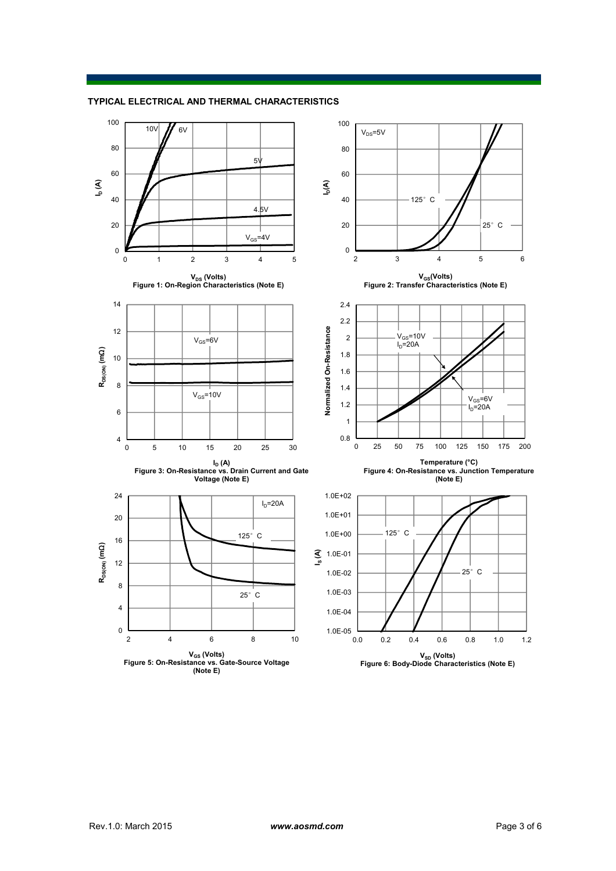

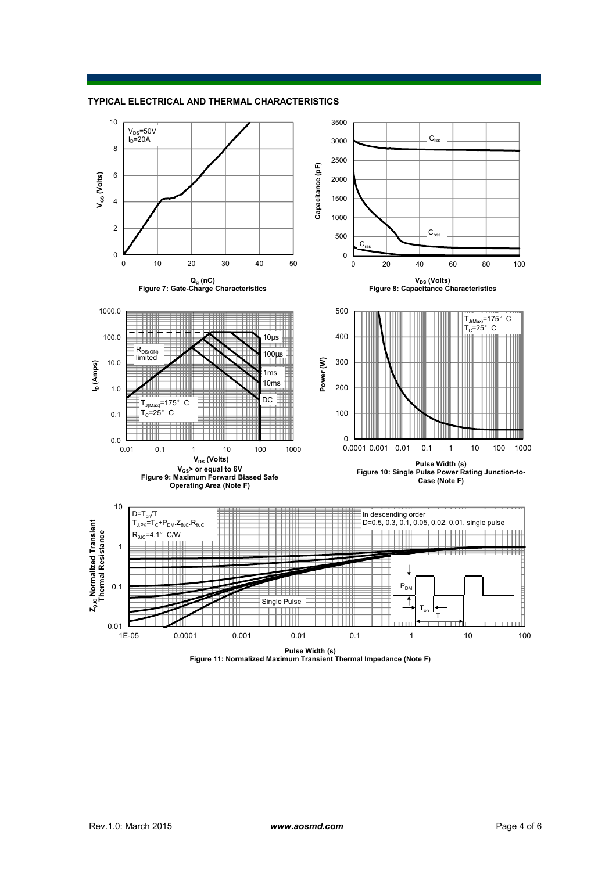



**Pulse Width (s) Figure 11: Normalized Maximum Transient Thermal Impedance (Note F)**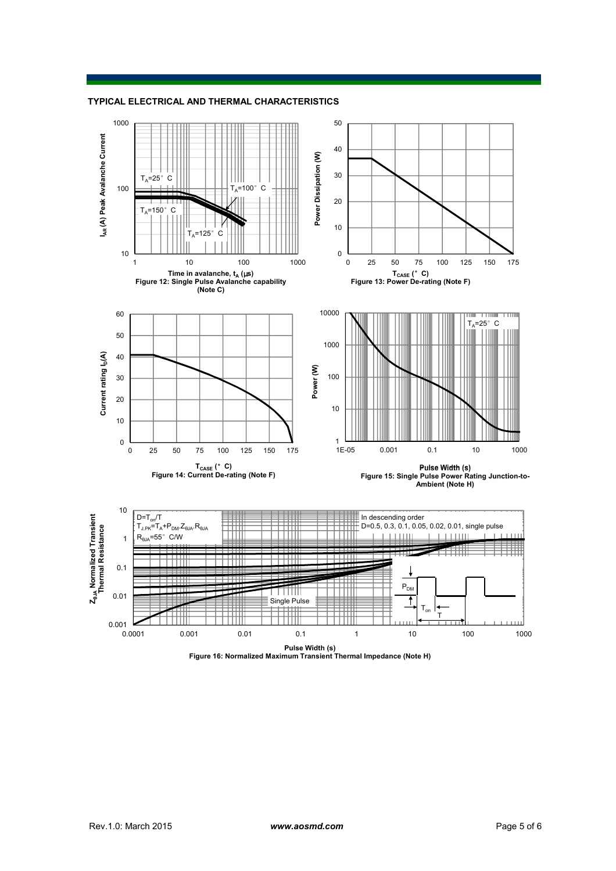**TYPICAL ELECTRICAL AND THERMAL CHARACTERISTICS**